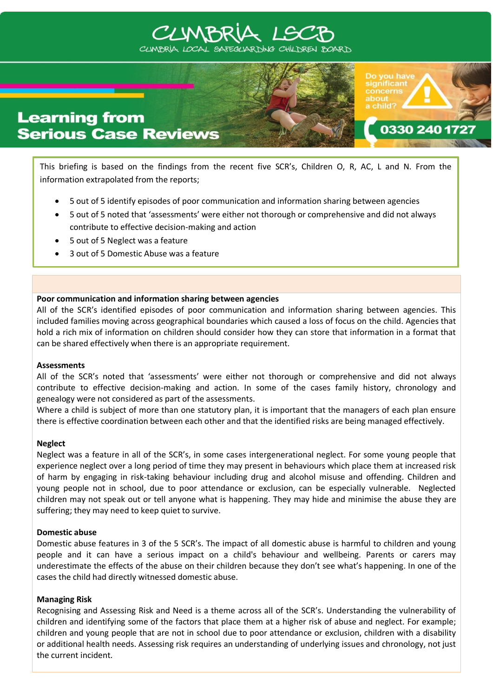# CLIMBRI



This briefing is based on the findings from the recent five SCR's, Children O, R, AC, L and N. From the information extrapolated from the reports;

0330 240 17

- 5 out of 5 identify episodes of poor communication and information sharing between agencies
- 5 out of 5 noted that 'assessments' were either not thorough or comprehensive and did not always contribute to effective decision-making and action
- 5 out of 5 Neglect was a feature
- 3 out of 5 Domestic Abuse was a feature

## **Poor communication and information sharing between agencies**

All of the SCR's identified episodes of poor communication and information sharing between agencies. This included families moving across geographical boundaries which caused a loss of focus on the child. Agencies that hold a rich mix of information on children should consider how they can store that information in a format that can be shared effectively when there is an appropriate requirement.

### **Assessments**

All of the SCR's noted that 'assessments' were either not thorough or comprehensive and did not always contribute to effective decision-making and action. In some of the cases family history, chronology and genealogy were not considered as part of the assessments.

Where a child is subject of more than one statutory plan, it is important that the managers of each plan ensure there is effective coordination between each other and that the identified risks are being managed effectively.

### **Neglect**

Neglect was a feature in all of the SCR's, in some cases intergenerational neglect. For some young people that experience neglect over a long period of time they may present in behaviours which place them at increased risk of harm by engaging in risk-taking behaviour including drug and alcohol misuse and offending. Children and young people not in school, due to poor attendance or exclusion, can be especially vulnerable. Neglected children may not speak out or tell anyone what is happening. They may hide and minimise the abuse they are suffering; they may need to keep quiet to survive.

### **Domestic abuse**

Domestic abuse features in 3 of the 5 SCR's. The impact of all domestic abuse is harmful to children and young people and it can have a serious impact on a child's behaviour and wellbeing. Parents or carers may underestimate the effects of the abuse on their children because they don't see what's happening. In one of the cases the child had directly witnessed domestic abuse.

### **Managing Risk**

Recognising and Assessing Risk and Need is a theme across all of the SCR's. Understanding the vulnerability of children and identifying some of the factors that place them at a higher risk of abuse and neglect. For example; children and young people that are not in school due to poor attendance or exclusion, children with a disability or additional health needs. Assessing risk requires an understanding of underlying issues and chronology, not just the current incident.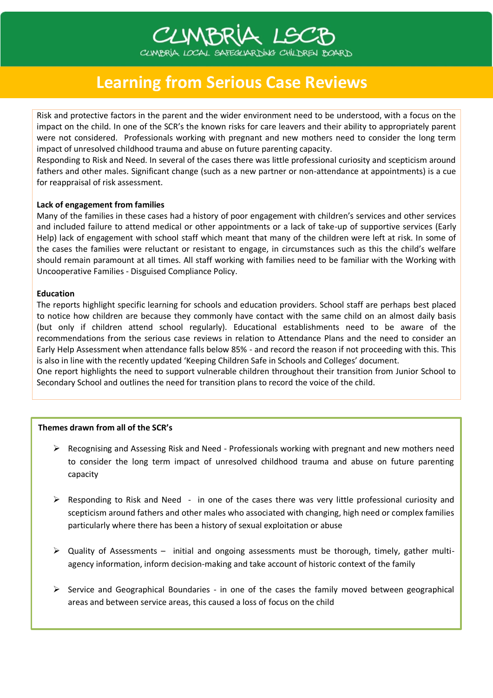# **Learning from Serious Case Reviews**

CLIMBRIA LSC

Risk and protective factors in the parent and the wider environment need to be understood, with a focus on the impact on the child. In one of the SCR's the known risks for care leavers and their ability to appropriately parent were not considered. Professionals working with pregnant and new mothers need to consider the long term impact of unresolved childhood trauma and abuse on future parenting capacity.

CLIMBRÍA LOCAL SAFEGLARDING CHILDREN BOARD

Responding to Risk and Need. In several of the cases there was little professional curiosity and scepticism around fathers and other males. Significant change (such as a new partner or non-attendance at appointments) is a cue for reappraisal of risk assessment.

### **Lack of engagement from families**

Many of the families in these cases had a history of poor engagement with children's services and other services and included failure to attend medical or other appointments or a lack of take-up of supportive services (Early Help) lack of engagement with school staff which meant that many of the children were left at risk. In some of the cases the families were reluctant or resistant to engage, in circumstances such as this the child's welfare should remain paramount at all times. All staff working with families need to be familiar with the Working with Uncooperative Families - Disguised Compliance Policy.

#### **Education**

The reports highlight specific learning for schools and education providers. School staff are perhaps best placed to notice how children are because they commonly have contact with the same child on an almost daily basis (but only if children attend school regularly). Educational establishments need to be aware of the recommendations from the serious case reviews in relation to Attendance Plans and the need to consider an Early Help Assessment when attendance falls below 85% - and record the reason if not proceeding with this. This is also in line with the recently updated 'Keeping Children Safe in Schools and Colleges' document.

One report highlights the need to support vulnerable children throughout their transition from Junior School to Secondary School and outlines the need for transition plans to record the voice of the child.

### **Themes drawn from all of the SCR's**

- $\triangleright$  Recognising and Assessing Risk and Need Professionals working with pregnant and new mothers need to consider the long term impact of unresolved childhood trauma and abuse on future parenting capacity
- $\triangleright$  Responding to Risk and Need in one of the cases there was very little professional curiosity and scepticism around fathers and other males who associated with changing, high need or complex families particularly where there has been a history of sexual exploitation or abuse
- Quality of Assessments initial and ongoing assessments must be thorough, timely, gather multiagency information, inform decision-making and take account of historic context of the family
- $\triangleright$  Service and Geographical Boundaries in one of the cases the family moved between geographical areas and between service areas, this caused a loss of focus on the child